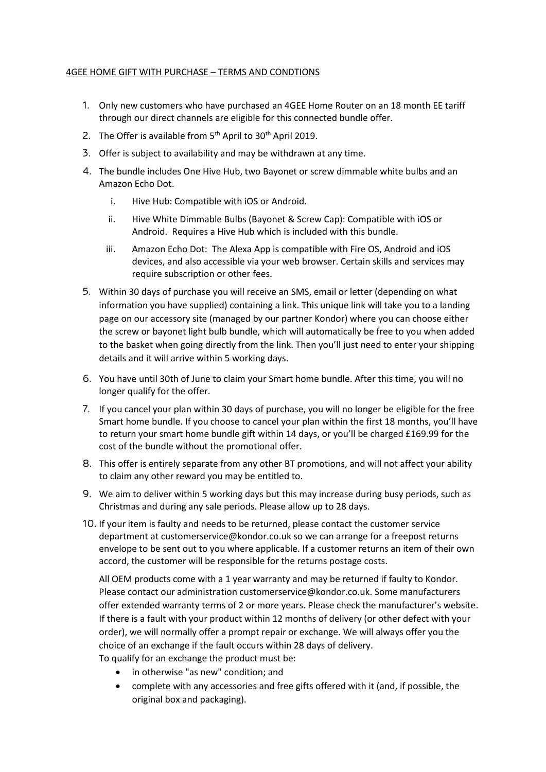## 4GEE HOME GIFT WITH PURCHASE – TERMS AND CONDTIONS

- 1. Only new customers who have purchased an 4GEE Home Router on an 18 month EE tariff through our direct channels are eligible for this connected bundle offer.
- 2. The Offer is available from  $5<sup>th</sup>$  April to 30<sup>th</sup> April 2019.
- 3. Offer is subject to availability and may be withdrawn at any time.
- 4. The bundle includes One Hive Hub, two Bayonet or screw dimmable white bulbs and an Amazon Echo Dot.
	- i. Hive Hub: Compatible with iOS or Android.
	- ii. Hive White Dimmable Bulbs (Bayonet & Screw Cap): Compatible with iOS or Android. Requires a Hive Hub which is included with this bundle.
	- iii. Amazon Echo Dot: The Alexa App is compatible with Fire OS, Android and iOS devices, and also accessible via your web browser. Certain skills and services may require subscription or other fees.
- 5. Within 30 days of purchase you will receive an SMS, email or letter (depending on what information you have supplied) containing a link. This unique link will take you to a landing page on our accessory site (managed by our partner Kondor) where you can choose either the screw or bayonet light bulb bundle, which will automatically be free to you when added to the basket when going directly from the link. Then you'll just need to enter your shipping details and it will arrive within 5 working days.
- 6. You have until 30th of June to claim your Smart home bundle. After this time, you will no longer qualify for the offer.
- 7. If you cancel your plan within 30 days of purchase, you will no longer be eligible for the free Smart home bundle. If you choose to cancel your plan within the first 18 months, you'll have to return your smart home bundle gift within 14 days, or you'll be charged £169.99 for the cost of the bundle without the promotional offer.
- 8. This offer is entirely separate from any other BT promotions, and will not affect your ability to claim any other reward you may be entitled to.
- 9. We aim to deliver within 5 working days but this may increase during busy periods, such as Christmas and during any sale periods. Please allow up to 28 days.
- 10. If your item is faulty and needs to be returned, please contact the customer service department at customerservice@kondor.co.uk so we can arrange for a freepost returns envelope to be sent out to you where applicable. If a customer returns an item of their own accord, the customer will be responsible for the returns postage costs.

All OEM products come with a 1 year warranty and may be returned if faulty to Kondor. Please contact our administration customerservice@kondor.co.uk. Some manufacturers offer extended warranty terms of 2 or more years. Please check the manufacturer's website. If there is a fault with your product within 12 months of delivery (or other defect with your order), we will normally offer a prompt repair or exchange. We will always offer you the choice of an exchange if the fault occurs within 28 days of delivery.

- To qualify for an exchange the product must be:
	- in otherwise "as new" condition; and
	- complete with any accessories and free gifts offered with it (and, if possible, the original box and packaging).